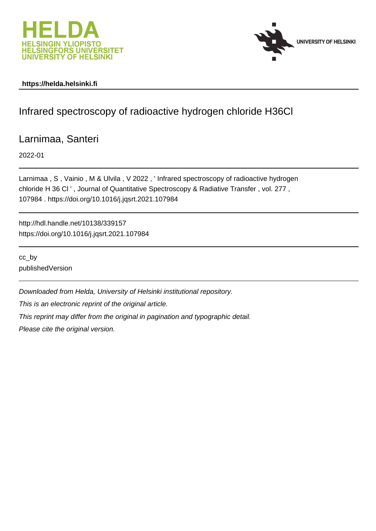



## **https://helda.helsinki.fi**

# Infrared spectroscopy of radioactive hydrogen chloride H36Cl

# Larnimaa, Santeri

2022-01

Larnimaa , S , Vainio , M & Ulvila , V 2022 , ' Infrared spectroscopy of radioactive hydrogen chloride H 36 Cl ' , Journal of Quantitative Spectroscopy & Radiative Transfer , vol. 277 , 107984 . https://doi.org/10.1016/j.jqsrt.2021.107984

http://hdl.handle.net/10138/339157 https://doi.org/10.1016/j.jqsrt.2021.107984

cc\_by publishedVersion

Downloaded from Helda, University of Helsinki institutional repository.

This is an electronic reprint of the original article.

This reprint may differ from the original in pagination and typographic detail.

Please cite the original version.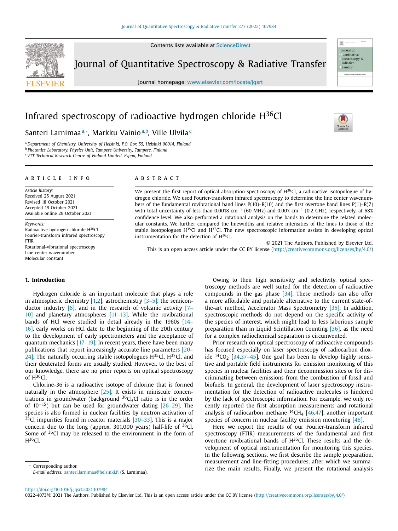Contents lists available at [ScienceDirect](http://www.ScienceDirect.com)



Journal of Quantitative Spectroscopy & Radiative Transfer

journal homepage: [www.elsevier.com/locate/jqsrt](http://www.elsevier.com/locate/jqsrt)



照

## Infrared spectroscopy of radioactive hydrogen chloride  $H^{36}Cl$

## Santeri Larnimaaª∗, Markku Vainioª<sup>,b</sup>, Ville Ulvila<sup>c</sup>

<sup>a</sup> *Department of Chemistry, University of Helsinki, P.O. Box 55, Helsinki 00014, Finland* <sup>b</sup> *Photonics Laboratory, Physics Unit, Tampere University, Tampere, Finland* <sup>c</sup> *VTT Technical Research Centre of Finland Limited, Espoo, Finland*

#### a r t i c l e i n f o

*Article history:* Received 25 August 2021 Revised 18 October 2021 Accepted 19 October 2021 Available online 29 October 2021

*Keywords:* Radioactive hydrogen chloride H36Cl Fourier-transform infrared spectroscopy FTIR Rotational-vibrational spectroscopy Line center wavenumber Molecular constant

#### a b s t r a c t

We present the first report of optical absorption spectroscopy of  $H^{36}$ Cl, a radioactive isotopologue of hydrogen chloride. We used Fourier-transform infrared spectroscopy to determine the line center wavenumbers of the fundamental rovibrational band lines  $P(10)$ –R(10) and the first overtone band lines  $P(1)$ –R(7) with total uncertainty of less than 0.0018 cm<sup>-1</sup> (60 MHz) and 0.007 cm<sup>-1</sup> (0.2 GHz), respectively, at 68% confidence level. We also performed a rotational analysis on the bands to determine the related molecular constants. We further compared the linewidths and relative intensities of the lines to those of the stable isotopologues  $H^{35}C$ l and  $H^{37}C$ l. The new spectroscopic information assists in developing optical instrumentation for the detection of H36Cl.

This is an open access article under the CC BY license [\(http://creativecommons.org/licenses/by/4.0/\)](http://creativecommons.org/licenses/by/4.0/)

#### **1. Introduction**

Hydrogen chloride is an important molecule that plays a role in atmospheric chemistry  $[1,2]$ , astrochemistry  $[3-5]$ , the semiconductor industry  $[6]$ , and in the research of volcanic activity  $[7 - ]$ 10] and planetary atmospheres [11–13]. While the rovibrational bands of HCl were studied in detail already in the 1960s [14– 16], early works on HCl date to the beginning of the 20th century to the development of early spectrometers and the acceptance of quantum mechanics  $[17-19]$ . In recent years, there have been many publications that report increasingly accurate line parameters [20– 24]. The naturally occurring stable isotopologues  $H^{35}Cl$ ,  $H^{37}Cl$ , and their deuterated forms are usually studied. However, to the best of our knowledge, there are no prior reports on optical spectroscopy of  $H^{36}Cl$ .

Chlorine-36 is a radioactive isotope of chlorine that is formed naturally in the atmosphere [25]. It exists in miniscule concentrations in groundwater (background 36Cl/Cl ratio is in the order of 10−15) but can be used for groundwater dating [26–29]. The species is also formed in nuclear facilities by neutron activation of 35Cl impurities found in reactor materials [30–33]. This is a major concern due to the long (approx. 301,000 years) half-life of  $36$ Cl. Some of <sup>36</sup>Cl may be released to the environment in the form of  $H^{36}Cl.$ 

<sup>∗</sup> Corresponding author. *E-mail address:* [santeri.larnimaa@helsinki.fi](mailto:santeri.larnimaa@helsinki.fi) (S. Larnimaa).

Owing to their high sensitivity and selectivity, optical spectroscopy methods are well suited for the detection of radioactive compounds in the gas phase  $[34]$ . These methods can also offer a more affordable and portable alternative to the current state-ofthe-art method, Accelerator Mass Spectrometry [35]. In addition, spectroscopic methods do not depend on the specific activity of the species of interest, which might lead to less laborious sample preparation than in Liquid Scintillation Counting [36], as the need for a complex radiochemical separation is circumvented.

© 2021 The Authors. Published by Elsevier Ltd.

Prior research on optical spectroscopy of radioactive compounds has focused especially on laser spectroscopy of radiocarbon dioxide  $^{14}CO_2$  [34,37-45]. One goal has been to develop highly sensitive and portable field instruments for emission monitoring of this species in nuclear facilities and their decommission sites or for discriminating between emissions from the combustion of fossil and biofuels. In general, the development of laser spectroscopy instrumentation for the detection of radioactive molecules is hindered by the lack of spectroscopic information. For example, we only recently reported the first absorption measurements and rotational analysis of radiocarbon methane  ${}^{14}CH_4$  [46,47], another important species of concern in nuclear facility emission monitoring [48].

Here we report the results of our Fourier-transform infrared spectroscopy (FTIR) measurements of the fundamental and first overtone rovibrational bands of  $H^{36}$ Cl. These results aid the development of optical instrumentation for monitoring this species. In the following sections, we first describe the sample preparation, measurement and line-fitting procedures, after which we summarize the main results. Finally, we present the rotational analysis

0022-4073/© 2021 The Authors. Published by Elsevier Ltd. This is an open access article under the CC BY license [\(http://creativecommons.org/licenses/by/4.0/\)](http://creativecommons.org/licenses/by/4.0/)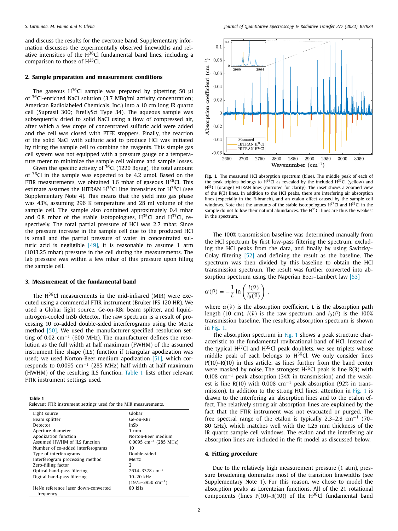and discuss the results for the overtone band. Supplementary information discusses the experimentally observed linewidths and relative intensities of the  $H^{36}Cl$  fundamental band lines, including a comparison to those of  $H^{35}Cl$ .

#### **2. Sample preparation and measurement conditions**

The gaseous  $H^{36}Cl$  sample was prepared by pipetting 50 μl of 36Cl-enriched NaCl solution (3.7 MBq/ml activity concentration; American Radiolabeled Chemicals, Inc.) into a 10 cm long IR quartz cell (Suprasil 300; FireflySci Type 34). The aqueous sample was subsequently dried to solid NaCl using a flow of compressed air, after which a few drops of concentrated sulfuric acid were added and the cell was closed with PTFE stoppers. Finally, the reaction of the solid NaCl with sulfuric acid to produce HCl was initiated by tilting the sample cell to combine the reagents. This simple gas cell system was not equipped with a pressure gauge or a temperature meter to minimize the sample cell volume and sample losses.

Given the specific activity of  ${}^{36}$ Cl (1220 Bq/µg), the total amount of <sup>36</sup>Cl in the sample was expected to be 4.2 umol. Based on the FTIR measurements, we obtained 1.6 mbar of gaseous  $H^{36}Cl$ . This estimate assumes the HITRAN  $H^{35}$ Cl line intensities for  $H^{36}$ Cl (see Supplementary Note 4). This means that the yield into gas phase was 43%, assuming 296 K temperature and 28 ml volume of the sample cell. The sample also contained approximately 0.4 mbar and 0.8 mbar of the stable isotopologues,  $H^{35}Cl$  and  $H^{37}Cl$ , respectively. The total partial pressure of HCl was 2.7 mbar. Since the pressure increase in the sample cell due to the produced HCl is small and the partial pressure of water in concentrated sulfuric acid is negligible  $[49]$ , it is reasonable to assume 1 atm (1013.25 mbar) pressure in the cell during the measurements. The lab pressure was within a few mbar of this pressure upon filling the sample cell.

#### **3. Measurement of the fundamental band**

The  $H^{36}$ Cl measurements in the mid-infrared (MIR) were executed using a commercial FTIR instrument (Bruker IFS 120 HR). We used a Globar light source, Ge-on-KBr beam splitter, and liquidnitrogen-cooled InSb detector. The raw spectrum is a result of processing 10 co-added double-sided interferograms using the Mertz method [50]. We used the manufacturer-specified resolution setting of 0.02 cm<sup>-1</sup> (600 MHz). The manufacturer defines the resolution as the full width at half maximum (FWHM) of the assumed instrument line shape (ILS) function if triangular apodization was used; we used Norton-Beer medium apodization [51], which corresponds to 0.0095  $cm^{-1}$  (285 MHz) half width at half maximum (HWHM) of the resulting ILS function. Table 1 lists other relevant FTIR instrument settings used.

**Table 1**

| Relevant FTIR instrument settings used for the MIR measurements. |  |
|------------------------------------------------------------------|--|
|------------------------------------------------------------------|--|

| Light source                                     | Globar                              |
|--------------------------------------------------|-------------------------------------|
| Beam splitter                                    | Ge-on-KBr                           |
| Detector                                         | InSh                                |
| Aperture diameter                                | $1 \text{ mm}$                      |
| Apodization function                             | Norton-Beer medium                  |
| Assumed HWHM of ILS function                     | $0.0095$ cm <sup>-1</sup> (285 MHz) |
| Number of co-added interferograms                | 10                                  |
| Type of interferograms                           | Double-sided                        |
| Interferogram processing method                  | Mertz.                              |
| Zero-filling factor                              | $\mathcal{L}$                       |
| Optical band-pass filtering                      | $2614 - 3378$ cm <sup>-1</sup>      |
| Digital band-pass filtering                      | $10 - 20$ kHz                       |
|                                                  | $(1975 - 3950$ cm <sup>-1</sup> )   |
| HeNe reference laser down-converted<br>frequency | 80 kHz                              |



**Fig. 1.** The measured HCl absorption spectrum (blue). The middle peak of each of the peak triplets belongs to  $H^{36}Cl$  as revealed by the included  $H^{37}Cl$  (yellow) and H<sup>35</sup>Cl (orange) HITRAN lines (mirrored for clarity). The inset shows a zoomed view of the R(3) lines. In addition to the HCl peaks, there are interfering air absorption lines (especially in the R-branch), and an etalon effect caused by the sample cell windows. Note that the amounts of the stable isotopologues  $H^{37}Cl$  and  $H^{35}Cl$  in the sample do not follow their natural abundances. The  $H^{35}$ Cl lines are thus the weakest in the spectrum.

The 100% transmission baseline was determined manually from the HCl spectrum by first low-pass filtering the spectrum, excluding the HCl peaks from the data, and finally by using Savitzky– Golay filtering [52] and defining the result as the baseline. The spectrum was then divided by this baseline to obtain the HCl transmission spectrum. The result was further converted into absorption spectrum using the Naperian Beer–Lambert law [53]

$$
\alpha(\tilde{\nu}) = -\frac{1}{L} \ln \left( \frac{I(\tilde{\nu})}{I_0(\tilde{\nu})} \right) ,
$$

where  $\alpha(\tilde{\nu})$  is the absorption coefficient, *L* is the absorption path length (10 cm),  $I(\tilde{v})$  is the raw spectrum, and  $I_0(\tilde{v})$  is the 100% transmission baseline. The resulting absorption spectrum is shown in Fig. 1.

The absorption spectrum in Fig. 1 shows a peak structure characteristic to the fundamental rovibrational band of HCl. Instead of the typical  $H^{37}$ Cl and  $H^{35}$ Cl peak doublets, we see triplets whose middle peak of each belongs to  $H^{36}$ Cl. We only consider lines P(10)–R(10) in this article, as lines further from the band center were masked by noise. The strongest  $H^{36}Cl$  peak is line R(3) with 0.108 cm−<sup>1</sup> peak absorption (34% in transmission) and the weakest is line R(10) with 0.008 cm<sup>-1</sup> peak absorption (92% in transmission). In addition to the strong HCl lines, attention in Fig. 1 is drawn to the interfering air absorption lines and to the etalon effect. The relatively strong air absorption lines are explained by the fact that the FTIR instrument was not evacuated or purged. The free spectral range of the etalon is typically 2.3–2.8 cm<sup>-1</sup> (70– 80 GHz), which matches well with the 1.25 mm thickness of the IR quartz sample cell windows. The etalon and the interfering air absorption lines are included in the fit model as discussed below.

#### **4. Fitting procedure**

Due to the relatively high measurement pressure (1 atm), pressure broadening dominates most of the transition linewidths (see Supplementary Note 1). For this reason, we chose to model the absorption peaks as Lorentzian functions. All of the 21 rotational components (lines  $P(10) - R(10)$ ) of the H<sup>36</sup>Cl fundamental band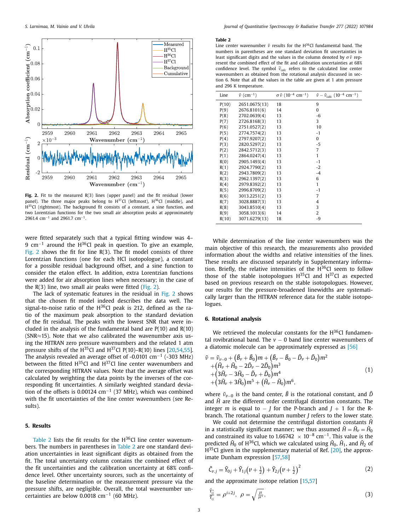

**Fig. 2.** Fit to the measured R(3) lines (upper panel) and the fit residual (lower panel). The three major peaks belong to  $H^{37}Cl$  (leftmost),  $H^{36}Cl$  (middle), and H<sup>35</sup>Cl (rightmost). The background fit consists of a constant, a sine function, and two Lorentzian functions for the two small air absorption peaks at approximately 2961.4 cm<sup>-1</sup> and 2961.7 cm<sup>-1</sup>.

were fitted separately such that a typical fitting window was 4– 9 cm<sup>-1</sup> around the H<sup>36</sup>Cl peak in question. To give an example, Fig. 2 shows the fit for line  $R(3)$ . The fit model consists of three Lorentzian functions (one for each HCl isotopologue), a constant for a possible residual background offset, and a sine function to consider the etalon effect. In addition, extra Lorentzian functions were added for air absorption lines when necessary; in the case of the  $R(3)$  line, two small air peaks were fitted (Fig. 2).

The lack of systematic features in the residual in Fig. 2 shows that the chosen fit model indeed describes the data well. The signal-to-noise ratio of the  $H^{36}Cl$  peak is 212, defined as the ratio of the maximum peak absorption to the standard deviation of the fit residual. The peaks with the lowest SNR that were included in the analysis of the fundamental band are  $P(10)$  and  $R(10)$ (SNR≈15). Note that we also calibrated the wavenumber axis using the HITRAN zero pressure wavenumbers and the related 1 atm pressure shifts of the  $H^{35}Cl$  and  $H^{37}Cl$  P(10)–R(10) lines [20,54,55]. The analysis revealed an average offset of -0.0101 cm−<sup>1</sup> (-303 MHz) between the fitted  $H^{35}Cl$  and  $H^{37}Cl$  line center wavenumbers and the corresponding HITRAN values. Note that the average offset was calculated by weighting the data points by the inverses of the corresponding fit uncertainties. A similarly weighted standard deviation of the offsets is 0.00124 cm−<sup>1</sup> (37 MHz), which was combined with the fit uncertainties of the line center wavenumbers (see Results).

#### **5. Results**

Table 2 lists the fit results for the  $H^{36}Cl$  line center wavenumbers. The numbers in parentheses in Table 2 are one standard deviation uncertainties in least significant digits as obtained from the fit. The total uncertainty column contains the combined effect of the fit uncertainties and the calibration uncertainty at 68% confidence level. Other uncertainty sources, such as the uncertainty of the baseline determination or the measurement pressure via the pressure shifts, are negligible. Overall, the total wavenumber uncertainties are below 0.0018 cm<sup>-1</sup> (60 MHz).

#### **Table 2**

Line center wavenumber  $\tilde{v}$  results for the H<sup>36</sup>Cl fundamental band. The numbers in parentheses are one standard deviation fit uncertainties in least significant digits and the values in the column denoted by  $\sigma \tilde{v}$  represent the combined effect of the fit and calibration uncertainties at 68% confidence level. The symbol  $\tilde{v}_{calc}$  refers to the calculated line center wavenumbers as obtained from the rotational analysis discussed in section 6. Note that all the values in the table are given at 1 atm pressure and 296 K temperature.

| Line  | $\tilde{\nu}$ (cm <sup>-1</sup> ) | $\sigma \tilde{\nu}$ (10 <sup>-4</sup> cm <sup>-1</sup> ) | $\tilde{v} - \tilde{v}_{\text{calc}}$ (10 <sup>-4</sup> cm <sup>-1</sup> ) |
|-------|-----------------------------------|-----------------------------------------------------------|----------------------------------------------------------------------------|
| P(10) | 2651.0675(13)                     | 18                                                        | 9                                                                          |
| P(9)  | 2676.8101(6)                      | 14                                                        | 0                                                                          |
| P(8)  | 2702.0639(4)                      | 13                                                        | $-6$                                                                       |
| P(7)  | 2726.8168(3)                      | 13                                                        | 3                                                                          |
| P(6)  | 2751.0527(2)                      | 13                                                        | 10                                                                         |
| P(5)  | 2774.7574(2)                      | 13                                                        | $-1$                                                                       |
| P(4)  | 2797.9207(2)                      | 13                                                        | 0                                                                          |
| P(3)  | 2820.5297(2)                      | 13                                                        | $-5$                                                                       |
| P(2)  | 2842.5712(3)                      | 13                                                        | $\overline{7}$                                                             |
| P(1)  | 2864.0247(4)                      | 13                                                        | $\mathbf{1}$                                                               |
| R(0)  | 2905.1493(4)                      | 13                                                        | $-1$                                                                       |
| R(1)  | 2924.7790(2)                      | 13                                                        | $-2$                                                                       |
| R(2)  | 2943.7809(2)                      | 13                                                        | $-4$                                                                       |
| R(3)  | 2962.1397(2)                      | 13                                                        | 6                                                                          |
| R(4)  | 2979.8392(2)                      | 13                                                        | $\mathbf{1}$                                                               |
| R(5)  | 2996.8709(2)                      | 13                                                        | $-1$                                                                       |
| R(6)  | 3013.2251(2)                      | 13                                                        | $\overline{7}$                                                             |
| R(7)  | 3028.8887(3)                      | 13                                                        | 4                                                                          |
| R(8)  | 3043.8510(4)                      | 13                                                        | 3                                                                          |
| R(9)  | 3058.1013(6)                      | 14                                                        | $\overline{2}$                                                             |
| R(10) | 3071.6279(13)                     | 18                                                        | -9                                                                         |

While determination of the line center wavenumbers was the main objective of this research, the measurements also provided information about the widths and relative intensities of the lines. These results are discussed separately in Supplementary information. Briefly, the relative intensities of the  $H^{36}Cl$  seem to follow those of the stable isotopologues  $H^{35}Cl$  and  $H^{37}Cl$  as expected based on previous research on the stable isotopologues. However, our results for the pressure-broadened linewidths are systematically larger than the HITRAN reference data for the stable isotopologues

## **6. Rotational analysis**

We retrieved the molecular constants for the  $H^{36}Cl$  fundamental rovibrational band. The  $v - 0$  band line center wavenumbers of a diatomic molecule can be approximately expressed as [56]

$$
\tilde{\nu} = \tilde{\nu}_{\nu-0} + (\tilde{B}_{\nu} + \tilde{B}_0)m + (\tilde{B}_{\nu} - \tilde{B}_0 - \tilde{D}_{\nu} + \tilde{D}_0)m^2 \n+ (\tilde{H}_{\nu} + \tilde{H}_0 - 2\tilde{D}_{\nu} - 2\tilde{D}_0)m^3 \n+ (3\tilde{H}_{\nu} - 3\tilde{H}_0 - \tilde{D}_{\nu} + \tilde{D}_0)m^4 \n+ (3\tilde{H}_{\nu} + 3\tilde{H}_0)m^5 + (\tilde{H}_{\nu} - \tilde{H}_0)m^6,
$$
\n(1)

where  $\tilde{v}_{\nu-0}$  is the band center,  $\tilde{B}$  is the rotational constant, and  $\tilde{D}$ and  $\hat{H}$  are the different order centrifugal distortion constants. The integer *m* is equal to  $-$  *J* for the P-branch and  $J + 1$  for the Rbranch. The rotational quantum number *J* refers to the lower state.

We could not determine the centrifugal distortion constants  $\tilde{H}$ in a statistically significant manner; we thus assumed  $\tilde{H} = \tilde{H}_v = \tilde{H}_0$ and constrained its value to 1.66742  $\times$  10<sup>-8</sup> cm<sup>-1</sup>. This value is the predicted  $\tilde{H}_0$  of H<sup>36</sup>Cl, which we calculated using  $\tilde{H}_0$ ,  $\tilde{H}_1$ , and  $\tilde{H}_2$  of  $H^{35}$ Cl given in the supplementary material of Ref. [20], the approximate Dunham expression [57,58]

$$
\tilde{C}_{v,j} = \tilde{Y}_{0j} + \tilde{Y}_{1j}\left(v + \frac{1}{2}\right) + \tilde{Y}_{2j}\left(v + \frac{1}{2}\right)^2 \tag{2}
$$

and the approximate isotope relation [15,57]

$$
\frac{\tilde{Y}_{ij}^*}{\tilde{Y}_{ij}} = \rho^{i+2j}, \ \rho = \sqrt{\frac{\mu}{\mu^*}}, \tag{3}
$$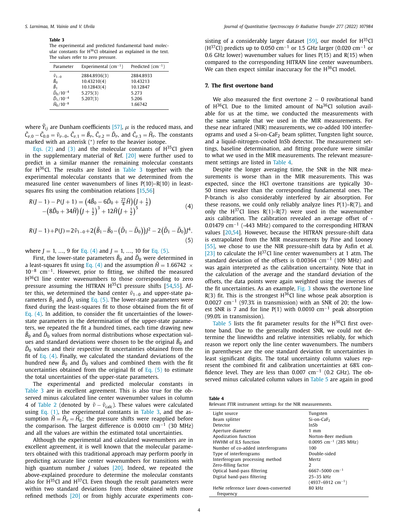#### **Table 3**

The experimental and predicted fundamental band molecular constants for H<sup>36</sup>Cl obtained as explained in the text. The values refer to zero pressure.

| Parameter                             | Experimental $(cm^{-1})$ | Predicted $(cm-1)$ |
|---------------------------------------|--------------------------|--------------------|
| $\frac{\tilde{v}_{1-0}}{\tilde{B}_0}$ | 2884.8936(3)             | 2884.8933          |
|                                       | 10.43210(4)              | 10.43213           |
| $\tilde{B}_1$                         | 10.12843(4)              | 10.12847           |
| $\tilde{D}_0/10^{-4}$                 | 5.275(3)                 | 5.273              |
| $\tilde{D}_1/10^{-4}$                 | 5.207(3)                 | 5.206              |
| $\tilde{H}_0/10^{-8}$                 |                          | 1.66742            |

where  $\widetilde{Y}_{ij}$  are Dunham coefficients [57],  $\mu$  is the reduced mass, and  $\tilde{C}_{\nu,0} - \tilde{C}_{0,0} = \tilde{\nu}_{\nu-0}, \ \tilde{C}_{\nu,1} = \tilde{B}_{\nu}, \ \tilde{C}_{\nu,2} = \tilde{D}_{\nu}, \text{ and } \ \tilde{C}_{\nu,3} = \tilde{H}_{\nu}.$  The constants marked with an asterisk (∗) refer to the heavier isotope.

Eqs. (2) and (3) and the molecular constants of  $H^{35}Cl$  given in the supplementary material of Ref. [20] were further used to predict in a similar manner the remaining molecular constants for H36Cl. The results are listed in Table 3 together with the experimental molecular constants that we determined from the measured line center wavenumbers of lines P(10)–R(10) in leastsquares fits using the combination relations [15,56]

$$
R(J-1) - P(J+1) = (4\tilde{B}_0 - 6\tilde{D}_0 + \frac{27}{4}\tilde{H})(J + \frac{1}{2})
$$
  
-(8\tilde{D}\_0 + 34\tilde{H})(J + \frac{1}{2})^3 + 12\tilde{H}(J + \frac{1}{2})^5 (4)

$$
R(J-1)+P(J)=2\tilde{\nu}_{1-0}+2(\tilde{B}_1-\tilde{B}_0-(\tilde{D}_1-\tilde{D}_0))J^2-2(\tilde{D}_1-\tilde{D}_0)J^4,
$$
\n(5)

where  $J = 1, ..., 9$  for Eq. (4) and  $J = 1, ..., 10$  for Eq. (5).

First, the lower-state parameters  $\tilde{B}_0$  and  $\tilde{D}_0$  were determined in a least-squares fit using Eq. (4) and the assumption  $\tilde{H} = 1.66742 \times$ 10−<sup>8</sup> cm−1. However, prior to fitting, we shifted the measured H<sup>36</sup>Cl line center wavenumbers to those corresponding to zero pressure assuming the HITRAN  $H^{35}$ Cl pressure shifts [54,55]. After this, we determined the band center  $\tilde{v}_{1-0}$  and upper-state parameters  $\tilde{B}_1$  and  $\tilde{D}_1$  using Eq. (5). The lower-state parameters were fixed during the least-squares fit to those obtained from the fit of Eq. (4). In addition, to consider the fit uncertainties of the lowerstate parameters in the determination of the upper-state parameters, we repeated the fit a hundred times, each time drawing new  $\tilde B_0$  and  $\tilde D_0$  values from normal distributions whose expectation values and standard deviations were chosen to be the original  $\tilde{B}_0$  and  $\tilde{D}_0$  values and their respective fit uncertainties obtained from the fit of Eq.  $(4)$ . Finally, we calculated the standard deviations of the hundred new  $\tilde{B}_0$  and  $\tilde{D}_0$  values and combined them with the fit uncertainties obtained from the original fit of Eq. (5) to estimate the total uncertainties of the upper-state parameters.

The experimental and predicted molecular constants in Table 3 are in excellent agreement. This is also true for the observed minus calculated line center wavenumber values in column 4 of Table 2 (denoted by  $\tilde{v} - \tilde{v}_{\text{calc}}$ ). These values were calculated using Eq.  $(1)$ , the experimental constants in Table 3, and the assumption  $\tilde{H} = \tilde{H}_v = \tilde{H}_0$ ; the pressure shifts were reapplied before the comparison. The largest difference is 0.0010  $cm^{-1}$  (30 MHz) and all the values are within the estimated total uncertainties.

Although the experimental and calculated wavenumbers are in excellent agreement, it is well known that the molecular parameters obtained with this traditional approach may perform poorly in predicting accurate line center wavenumbers for transitions with high quantum number *J* values [20]. Indeed, we repeated the above-explained procedure to determine the molecular constants also for  $H^{35}$ Cl and  $H^{37}$ Cl. Even though the result parameters were within two standard deviations from those obtained with more refined methods [20] or from highly accurate experiments consisting of a considerably larger dataset  $[59]$ , our model for  $H^{35}Cl$  $(H^{37}Cl)$  predicts up to 0.050 cm<sup>-1</sup> or 1.5 GHz larger (0.020 cm<sup>-1</sup> or 0.6 GHz lower) wavenumber values for lines P(15) and R(15) when compared to the corresponding HITRAN line center wavenumbers. We can then expect similar inaccuracy for the H<sup>36</sup>Cl model.

### **7. The first overtone band**

We also measured the first overtone  $2 - 0$  rovibrational band of  $H^{36}$ Cl. Due to the limited amount of Na $^{36}$ Cl solution available for us at the time, we conducted the measurements with the same sample that we used in the MIR measurements. For these near infrared (NIR) measurements, we co-added 100 interferograms and used a  $Si$ -on-Ca $F<sub>2</sub>$  beam splitter, Tungsten light source, and a liquid-nitrogen-cooled InSb detector. The measurement settings, baseline determination, and fitting procedure were similar to what we used in the MIR measurements. The relevant measurement settings are listed in Table 4.

Despite the longer averaging time, the SNR in the NIR measurements is worse than in the MIR measurements. This was expected, since the HCl overtone transitions are typically 30– 50 times weaker than the corresponding fundamental ones. The P-branch is also considerably interfered by air absorption. For these reasons, we could only reliably analyze lines  $P(1)-R(7)$ , and only the  $H^{37}Cl$  lines R(1)–R(7) were used in the wavenumber axis calibration. The calibration revealed an average offset of - 0.01479 cm−<sup>1</sup> (-443 MHz) compared to the corresponding HITRAN values [20,54]. However, because the HITRAN pressure-shift data is extrapolated from the MIR measurements by Pine and Looney [55], we chose to use the NIR pressure-shift data by Asfin et al. [23] to calculate the  $H^{37}$ Cl line center wavenumbers at 1 atm. The standard deviation of the offsets is 0.00364 cm<sup>-1</sup> (109 MHz) and was again interpreted as the calibration uncertainty. Note that in the calculation of the average and the standard deviation of the offsets, the data points were again weighted using the inverses of the fit uncertainties. As an example, Fig. 3 shows the overtone line  $R(3)$  fit. This is the strongest H<sup>36</sup>Cl line whose peak absorption is 0.0027 cm−<sup>1</sup> (97.3% in transmission) with an SNR of 20; the lowest SNR is 7 and for line P(1) with 0.0010 cm−<sup>1</sup> peak absorption (99.0% in transmission).

Table 5 lists the fit parameter results for the  $H^{36}Cl$  first overtone band. Due to the generally modest SNR, we could not determine the linewidths and relative intensities reliably, for which reason we report only the line center wavenumbers. The numbers in parentheses are the one standard deviation fit uncertainties in least significant digits. The total uncertainty column values represent the combined fit and calibration uncertainties at 68% confidence level. They are less than 0.007 cm−<sup>1</sup> (0.2 GHz). The observed minus calculated column values in Table 5 are again in good

| Table 4                                                     |  |  |  |  |
|-------------------------------------------------------------|--|--|--|--|
| Relevant FTIR instrument settings for the NIR measurements. |  |  |  |  |

| Light source                        | Tungsten                            |
|-------------------------------------|-------------------------------------|
| Beam splitter                       | $Si$ -on-Ca $F2$                    |
| Detector                            | InSh                                |
| Aperture diameter                   | $1$ mm                              |
| Apodization function                | Norton-Beer medium                  |
| HWHM of ILS function                | $0.0095$ cm <sup>-1</sup> (285 MHz) |
| Number of co-added interferograms   | 100                                 |
| Type of interferograms              | Double-sided                        |
| Interferogram processing method     | Mertz                               |
| Zero-filling factor                 | $\mathcal{L}$                       |
| Optical band-pass filtering         | $6667 - 5000$ cm <sup>-1</sup>      |
| Digital band-pass filtering         | $25 - 35$ kHz                       |
|                                     | $(4937-6912$ cm <sup>-1</sup> )     |
| HeNe reference laser down-converted | 80 kHz                              |
| frequency                           |                                     |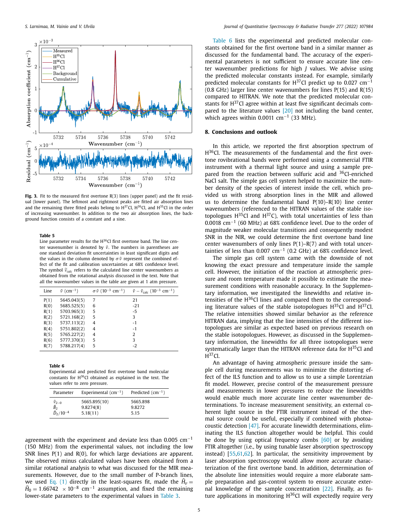

**Fig. 3.** Fit to the measured first overtone R(3) lines (upper panel) and the fit residual (lower panel). The leftmost and rightmost peaks are fitted air absorption lines and the remaining three fitted peaks belong to  $H^{37}$ Cl,  $H^{36}$ Cl, and  $H^{35}$ Cl in the order of increasing wavenumber. In addition to the two air absorption lines, the background function consists of a constant and a sine.

#### **Table 5**

Line parameter results for the H<sup>36</sup>Cl first overtone band. The line center wavenumber is denoted by  $\tilde{v}$ . The numbers in parentheses are one standard deviation fit uncertainties in least significant digits and the values in the column denoted by  $\sigma \tilde{\nu}$  represent the combined effect of the fit and calibration uncertainties at 68% confidence level. The symbol  $\tilde{v}_{calc}$  refers to the calculated line center wavenumbers as obtained from the rotational analysis discussed in the text. Note that all the wavenumber values in the table are given at 1 atm pressure.

| $\tilde{\nu}$ (cm <sup>-1</sup> )<br>$\sigma \tilde{\nu}$ (10 <sup>-3</sup> cm <sup>-1</sup> )<br>Line | $\tilde{\nu} - \tilde{\nu}_{\text{calc}}$ (10 <sup>-3</sup> cm <sup>-1</sup> ) |
|--------------------------------------------------------------------------------------------------------|--------------------------------------------------------------------------------|
| 21<br>P(1)<br>5645.043(5)<br>7                                                                         |                                                                                |
| 5685.525(5)<br>R(0)<br>$-21$<br>6                                                                      |                                                                                |
| 5703.965(3)<br>R(1)<br>5<br>$-5$                                                                       |                                                                                |
| 3<br>5721.168(2)<br>R(2)<br>5                                                                          |                                                                                |
| $-1$<br>R(3)<br>5737.113(2)<br>4                                                                       |                                                                                |
| 5751.802(2)<br>R(4)<br>$-1$<br>4                                                                       |                                                                                |
| 5765.227(2)<br>2<br>R(5)<br>4                                                                          |                                                                                |
| 3<br>5<br>R(6)<br>5777.370(3)                                                                          |                                                                                |
| $-2$<br>5788.217(4)<br>5<br>R(7)                                                                       |                                                                                |

**Table 6**

Experimental and predicted first overtone band molecular constants for H36Cl obtained as explained in the text. The values refer to zero pressure.

| Parameter                                                              | Experimental $(cm^{-1})$              | Predicted $(cm-1)$         |
|------------------------------------------------------------------------|---------------------------------------|----------------------------|
| $\frac{\tilde{v}_{2-0}}{\tilde{B}_2}$<br>$\frac{\tilde{D}_2}{10^{-4}}$ | 5665.895(10)<br>9.8274(8)<br>5.18(11) | 5665.898<br>9.8272<br>5.15 |

agreement with the experiment and deviate less than 0.005 cm−<sup>1</sup> (150 MHz) from the experimental values, not including the low SNR lines  $P(1)$  and  $R(0)$ , for which large deviations are apparent. The observed minus calculated values have been obtained from a similar rotational analysis to what was discussed for the MIR measurements. However, due to the small number of P-branch lines, we used Eq. (1) directly in the least-squares fit, made the  $\tilde{H}_v =$  $\tilde{H}_0 = 1.66742 \times 10^{-8}$  cm<sup>-1</sup> assumption, and fixed the remaining lower-state parameters to the experimental values in Table 3.

Table 6 lists the experimental and predicted molecular constants obtained for the first overtone band in a similar manner as discussed for the fundamental band. The accuracy of the experimental parameters is not sufficient to ensure accurate line center wavenumber predictions for high *J* values. We advise using the predicted molecular constants instead. For example, similarly predicted molecular constants for H $37$ Cl predict up to 0.027 cm<sup>-1</sup> (0.8 GHz) larger line center wavenumbers for lines P(15) and R(15) compared to HITRAN. We note that the predicted molecular constants for  $H^{37}$ Cl agree within at least five significant decimals compared to the literature values [20] not including the band center, which agrees within 0.0011 cm<sup>-1</sup> (33 MHz).

#### **8. Conclusions and outlook**

In this article, we reported the first absorption spectrum of H<sup>36</sup>Cl. The measurements of the fundamental and the first overtone rovibrational bands were performed using a commercial FTIR instrument with a thermal light source and using a sample prepared from the reaction between sulfuric acid and <sup>36</sup>Cl-enriched NaCl salt. The simple gas cell system helped to maximize the number density of the species of interest inside the cell, which provided us with strong absorption lines in the MIR and allowed us to determine the fundamental band  $P(10)-R(10)$  line center wavenumbers (referenced to the HITRAN values of the stable isotopologues  $H^{35}Cl$  and  $H^{37}Cl$ , with total uncertainties of less than 0.0018 cm−<sup>1</sup> (60 MHz) at 68% confidence level. Due to the order of magnitude weaker molecular transitions and consequently modest SNR in the NIR, we could determine the first overtone band line center wavenumbers of only lines  $P(1)-R(7)$  and with total uncertainties of less than 0.007 cm<sup>-1</sup> (0.2 GHz) at 68% confidence level.

The simple gas cell system came with the downside of not knowing the exact pressure and temperature inside the sample cell. However, the initiation of the reaction at atmospheric pressure and room temperature made it possible to estimate the measurement conditions with reasonable accuracy. In the Supplementary information, we investigated the linewidths and relative intensities of the H36Cl lines and compared them to the corresponding literature values of the stable isotopologues  $H^{35}Cl$  and  $H^{37}Cl$ . The relative intensities showed similar behavior as the reference HITRAN data, implying that the line intensities of the different isotopologues are similar as expected based on previous research on the stable isotopologues. However, as discussed in the Supplementary information, the linewidths for all three isotopologues were systematically larger than the HITRAN reference data for H<sup>35</sup>Cl and  $H^{37}Cl.$ 

An advantage of having atmospheric pressure inside the sample cell during measurements was to minimize the distorting effect of the ILS function and to allow us to use a simple Lorentzian fit model. However, precise control of the measurement pressure and measurements in lower pressures to reduce the linewidths would enable much more accurate line center wavenumber determinations. To increase measurement sensitivity, an external coherent light source in the FTIR instrument instead of the thermal source could be useful, especially if combined with photoacoustic detection [47]. For accurate linewidth determinations, eliminating the ILS function altogether would be helpful. This could be done by using optical frequency combs [60] or by avoiding FTIR altogether (i.e., by using tunable laser absorption spectroscopy instead) [55,61,62]. In particular, the sensitivity improvement by laser absorption spectroscopy would allow more accurate characterization of the first overtone band. In addition, determination of the absolute line intensities would require a more elaborate sample preparation and gas-control system to ensure accurate external knowledge of the sample concentration [22]. Finally, as future applications in monitoring  $H^{36}Cl$  will expectedly require very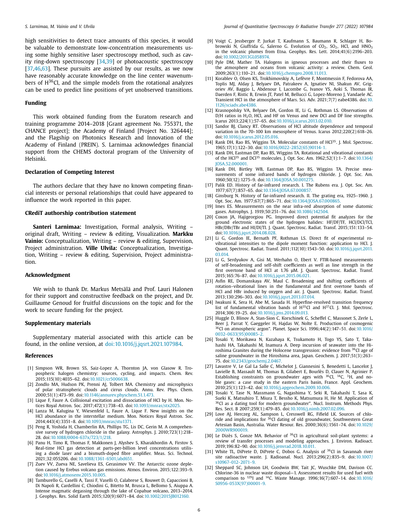high sensitivities to detect trace amounts of this species, it would be valuable to demonstrate low-concentration measurements using some highly sensitive laser spectroscopy method, such as cavity ring-down spectroscopy [34,39] or photoacoustic spectroscopy [37,46,63]. These pursuits are assisted by our results, as we now have reasonably accurate knowledge on the line center wavenumbers of  $H^{36}$ Cl, and the simple models from the rotational analyzes can be used to predict line positions of yet unobserved transitions.

#### **Funding**

This work obtained funding from the Euratom research and training programme 2014–2018 [Grant agreement No. 755371, the CHANCE project]; the Academy of Finland [Project No. 326444]; and the Flagship on Photonics Research and Innovation of the Academy of Finland (PREIN). S. Larnimaa acknowledges financial support from the CHEMS doctoral program of the University of Helsinki.

### **Declaration of Competing Interest**

The authors declare that they have no known competing financial interests or personal relationships that could have appeared to influence the work reported in this paper.

#### **CRediT authorship contribution statement**

**Santeri Larnimaa:** Investigation, Formal analysis, Writing – original draft, Writing – review & editing, Visualization. **Markku Vainio:** Conceptualization, Writing – review & editing, Supervision, Project administration. **Ville Ulvila:** Conceptualization, Investigation, Writing – review & editing, Supervision, Project administration.

#### **Acknowledgment**

We wish to thank Dr. Markus Metsälä and Prof. Lauri Halonen for their support and constructive feedback on the project, and Dr. Guillaume Genoud for fruitful discussions on the topic and for the work to secure funding for the project.

#### **Supplementary materials**

Supplementary material associated with this article can be found, in the online version, at doi:10.1016/i.jqsrt.2021.107984.

#### **References**

- [1] Simpson WR, Brown SS, Saiz-Lopez A, Thornton JA, von Glasow R. Tropospheric halogen chemistry: sources, cycling, and impacts. Chem. Rev. 2015;115(10):4035–62. doi[:10.1021/cr5006638.](https://doi.org/10.1021/cr5006638)
- [2] Zondlo MA, Hudson PK, Prenni AJ, Tolbert MA. Chemistry and microphysics of polar stratospheric clouds and cirrus clouds. Annu. Rev. Phys. Chem. 2000;51(1):473–99. doi[:10.1146/annurev.physchem.51.1.473.](https://doi.org/10.1146/annurev.physchem.51.1.473)
- [3] Lique F, Faure A. Collisional excitation and dissociation of HCl by H. Mon. Notices Royal Astron. Soc. 2017;472(1):738–43. doi[:10.1093/mnras/stx2025.](https://doi.org/10.1093/mnras/stx2025)
- [4] Lanza M, Kalugina Y, Wiesenfeld L, Faure A, Lique F. New insights on the HCl abundance in the interstellar medium. Mon. Notices Royal Astron. Soc. 2014;443(4):3351–8. doi[:10.1093/mnras/stu1371.](https://doi.org/10.1093/mnras/stu1371)
- [5] Peng R, Yoshida H, Chamberlin RA, Phillips TG, Lis DC, Gerin M. A comprehensive survey of hydrogen chloride in the galaxy. Astrophys. J. 2010;723(1):218– 28. doi[:10.1088/0004-637x/723/1/218.](https://doi.org/10.1088/0004-637x/723/1/218)
- [6] Panu H, Timo R, Thomas F, Makkonen J, Alyshev S, Kharakhordin A, Firstov S. Real-time HCl gas detection at parts-per-billion level concentrations utilising a diode laser and a bismuth-doped fibre amplifier. Meas. Sci. Technol. 2021;32:055206. doi[:10.1088/1361-6501/abd651.](https://doi.org/10.1088/1361-6501/abd651)
- [7] Zuev VV, Zueva NE, Savelieva ES, Gerasimov VV. The Antarctic ozone depletion caused by Erebus volcano gas emissions. Atmos. Environ. 2015;122:393–9. doi[:10.1016/j.atmosenv.2015.10.005.](https://doi.org/10.1016/j.atmosenv.2015.10.005)
- [8] Tamburello G, Caselli A, Tassi F, Vaselli O, Calabrese S, Rouwet D, Capaccioni B, Di Napoli R, Cardellini C, Chiodini G, Bitetto M, Brusca L, Bellomo S, Aiuppa A. Intense magmatic degassing through the lake of Copahue volcano, 2013–2014. J. Geophys. Res. Solid Earth 2015;120(9):6071–84. doi[:10.1002/2015JB012160.](https://doi.org/10.1002/2015JB012160)
- [9] Voigt C, Jessberger P, Jurkat T, Kaufmann S, Baumann R, Schlager H, Bobrowski N, Giuffrida G, Salerno G. Evolution of  $CO<sub>2</sub>$ ,  $SO<sub>2</sub>$ , HCl, and HNO<sub>3</sub> in the volcanic plumes from Etna. Geophys. Res. Lett. 2014;41(6):2196–203. doi[:10.1002/2013GL058974.](https://doi.org/10.1002/2013GL058974)
- [10] Pyle DM, Mather TA. Halogens in igneous processes and their fluxes to the atmosphere and oceans from volcanic activity: a review. Chem. Geol. 2009;263(1):110–21. doi[:10.1016/j.chemgeo.2008.11.013.](https://doi.org/10.1016/j.chemgeo.2008.11.013)
- [11] Korablev O, Olsen KS, Trokhimovskiy A, Lefèvre F, Montmessin F, Fedorova AA, Toplis MJ, Alday J, Belyaev DA, Patrakeev A, Ignatiev NI, Shakun AV, Grigoriev AV, Baggio L, Abdenour I, Lacombe G, Ivanov YS, Aoki S, Thomas IR, Daerden F, Ristic B, Erwin JT, Patel M, Bellucci G, Lopez-Moreno J, Vandaele AC. Transient HCl in the atmosphere of Mars. Sci. Adv. 2021;7(7) eabe4386. doi:10. [1126/sciadv.abe4386.](https://doi.org/10.1126/sciadv.abe4386)
- [12] Krasnopolsky VA, Belyaev DA, Gordon IE, Li G, Rothman LS. Observations of D/H ratios in H<sub>2</sub>O, HCl, and HF on Venus and new DCl and DF line strengths. Icarus 2013;224(1):57–65. doi[:10.1016/j.icarus.2013.02.010.](https://doi.org/10.1016/j.icarus.2013.02.010)
- [13] Sandor BJ, Clancy RT. Observations of HCl altitude dependence and temporal variation in the 70–100 km mesosphere of Venus. Icarus 2012;220(2):618–26. doi[:10.1016/j.icarus.2012.05.016.](https://doi.org/10.1016/j.icarus.2012.05.016)
- [14] Rank DH, Rao BS, Wiggins TA. Molecular constants of HCl<sup>35</sup>. J. Mol. Spectrosc. 1965;17(1):122–30. doi[:10.1016/0022-2852\(65\)90114-1.](https://doi.org/10.1016/0022-2852(65)90114-1)
- [15] Rank DH, Eastman DP, Rao BS, Wiggins TA. Rotational and vibrational constants of the HCl<sup>35</sup> and DCl<sup>35</sup> molecules. J. Opt. Soc. Am. 1962;52(1):1–7. doi:10.1364/ [JOSA.52.000001.](https://doi.org/10.1364/JOSA.52.000001)
- [16] Rank DH, Birtley WB, Eastman DP, Rao BS, Wiggins TA, Precise measurements of some infrared bands of hydrogen chloride. J. Opt. Soc. Am. 1960;50(12):1275–9. doi[:10.1364/JOSA.50.001275.](https://doi.org/10.1364/JOSA.50.001275)
- [17] Palik ED. History of far-infrared research. I. The Rubens era. J. Opt. Soc. Am. 1977;67(7):857–65. doi[:10.1364/JOSA.67.000857.](https://doi.org/10.1364/JOSA.67.000857)
- [18] Ginsburg N. History of far-infrared research. II. The grating era, 1925-1960. J. Opt. Soc. Am. 1977;67(7):865–71. doi[:10.1364/JOSA.67.000865.](https://doi.org/10.1364/JOSA.67.000865)
- [19] Imes ES. Measurements on the near infra-red absorption of some diatomic gases. Astrophys. J. 1919;50:251–76. doi[:10.1086/142504.](https://doi.org/10.1086/142504)
- [20] Coxon JA, Hajigeorgiou PG. Improved direct potential fit analyzes for the ground electronic states of the hydrogen halides: HF/DF/TF, HCl/DCl/TCl, HBr/DBr/TBr and HI/DI/TI. J. Quant. Spectrosc. Radiat. Transf. 2015;151:133–54. doi[:10.1016/j.jqsrt.2014.08.028.](https://doi.org/10.1016/j.jqsrt.2014.08.028)
- [21] Li G, Gordon IE, Bernath PF, Rothman LS. Direct fit of experimental rovibrational intensities to the dipole moment function: application to HCl. J. Quant. Spectrosc. Radiat. Transf. 2011;112(10):1543–50. [doi:10.1016/j.jqsrt.2011.](https://doi.org/10.1016/j.jqsrt.2011.03.014) 03.014.
- [22] Li G, Serdyukov A, Gisi M, Werhahn O, Ebert V. FTIR-based measurements of self-broadening and self-shift coefficients as well as line strength in the first overtone band of HCl at 1.76 μM. J. Quant. Spectrosc. Radiat. Transf. 2015;165:76–87. doi[:10.1016/j.jqsrt.2015.06.021.](https://doi.org/10.1016/j.jqsrt.2015.06.021)
- [23] Asfin RE, Domanskaya AV, Maul C. Broadening and shifting coefficients of rotation–vibrational lines in the fundamental and first overtone bands of HCl and HBr induced by oxygen and air. J. Quant. Spectrosc. Radiat. Transf. 2013;130:296–303. doi[:10.1016/j.jqsrt.2013.07.014.](https://doi.org/10.1016/j.jqsrt.2013.07.014)
- [24] Iwakuni K, Sera H, Abe M, Sasada H. Hyperfine-resolved transition frequency list of fundamental vibration bands of  $H^{35}$ Cl and  $H^{37}$ Cl. J. Mol. Spectrosc. 2014;306:19–25. doi[:10.1016/j.jms.2014.09.013.](https://doi.org/10.1016/j.jms.2014.09.013)
- [25] Huggle D, Blinov A, Stan-Sion C, Korschinek G, Scheffel C, Massonet S, Zerle L, Beer J, Parrat Y, Gaeggeler H, Hajdas W, Nolte E. Production of cosmogenic 36Cl on atmospheric argon". Planet. Space Sci. 1996;44(2):147–51. doi:10.1016/ [0032-0633\(95\)00085-2.](https://doi.org/10.1016/0032-0633(95)00085-2)
- [26] Tosaki Y, Morikawa N, Kazahaya K, Tsukamoto H, Togo YS, Sato T, Takahashi HA, Takahashi M, Inamura A. Deep incursion of seawater into the Hiroshima Granites during the Holocene transgression: evidence from <sup>36</sup>Cl age of saline groundwater in the Hiroshima area, Japan. Geochem. J. 2017;51(3):263-75. doi[:10.2343/geochemj.2.0467.](https://doi.org/10.2343/geochemj.2.0467)
- [27] Lavastre V, Le Gal La Salle C, Michelot J, Giannesini S, Benedetti L, Lancelot J, Lavielle B, Massault M, Thomas B, Gilabert E, Bourlès D, Clauer N, Agrinier P. Establishing constraints on groundwater ages with  $^{36}$ Cl,  $^{14}$ C,  $^{3}$ H, and noble gases: a case study in the eastern Paris basin, France. Appl. Geochem. 2010;25(1):123–42. doi[:10.1016/j.apgeochem.2009.10.006.](https://doi.org/10.1016/j.apgeochem.2009.10.006)
- [28] Tosaki Y, Tase N, Massmann G, Nagashima Y, Seki R, Takahashi T, Sasa K, Sueki K, Matsuhiro T, Miura T, Bessho K, Matsumura H, He M. Application of <sup>36</sup>Cl as a dating tool for modern groundwater". Nucl. Instrum. Methods Phys. Res. Sect. B 2007;259(1):479–85. doi[:10.1016/j.nimb.2007.02.096.](https://doi.org/10.1016/j.nimb.2007.02.096)
- [29] Love AJ, Herczeg AL, Sampson L, Cresswell RG, Fifield LK. Sources of chloride and implications for  $36$ Cl dating of old groundwater, Southwestern Great Artesian Basin, Australia. Water Resour. Res. [2000;36\(6\):1561–74.](https://doi.org/10.1029/2000WR900019) doi:10.1029/ 2000WR900019.
- [30] Le Dizès S, Gonze MA. Behavior of  $36$ Cl in agricultural soil-plant systems: a review of transfer processes and modeling approaches. J. Environ. Radioact. 2019;196:82–90. doi[:10.1016/j.jenvrad.2018.10.011.](https://doi.org/10.1016/j.jenvrad.2018.10.011)
- [31] White TL, DiPrete D, DiPrete C, Dobos G. Analysis of <sup>36</sup>Cl in Savannah river site radioactive waste. J. Radioanal. Nucl. 2013;296(2):835–9. doi:10.1007/ [s10967-012-2071-9.](https://doi.org/10.1007/s10967-012-2071-9)
- [32] Sheppard SC, Johnson LH, Goodwin BW, Tait JC, Wuschke DM, Davison CC. Chlorine-36 in nuclear waste disposal—1. Assessment results for used fuel with comparison to 129I and 14C. Waste Manage. 1996;16(7):607–14. doi:10.1016/ [S0956-053X\(97\)00001-9.](https://doi.org/10.1016/S0956-053X(97)00001-9)